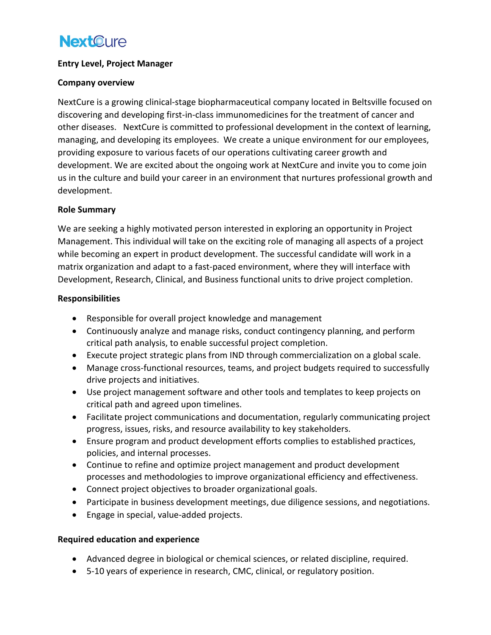# **NextOure**

## **Entry Level, Project Manager**

#### **Company overview**

NextCure is a growing clinical-stage biopharmaceutical company located in Beltsville focused on discovering and developing first-in-class immunomedicines for the treatment of cancer and other diseases. NextCure is committed to professional development in the context of learning, managing, and developing its employees. We create a unique environment for our employees, providing exposure to various facets of our operations cultivating career growth and development. We are excited about the ongoing work at NextCure and invite you to come join us in the culture and build your career in an environment that nurtures professional growth and development.

## **Role Summary**

We are seeking a highly motivated person interested in exploring an opportunity in Project Management. This individual will take on the exciting role of managing all aspects of a project while becoming an expert in product development. The successful candidate will work in a matrix organization and adapt to a fast-paced environment, where they will interface with Development, Research, Clinical, and Business functional units to drive project completion.

#### **Responsibilities**

- Responsible for overall project knowledge and management
- Continuously analyze and manage risks, conduct contingency planning, and perform critical path analysis, to enable successful project completion.
- Execute project strategic plans from IND through commercialization on a global scale.
- Manage cross-functional resources, teams, and project budgets required to successfully drive projects and initiatives.
- Use project management software and other tools and templates to keep projects on critical path and agreed upon timelines.
- Facilitate project communications and documentation, regularly communicating project progress, issues, risks, and resource availability to key stakeholders.
- Ensure program and product development efforts complies to established practices, policies, and internal processes.
- Continue to refine and optimize project management and product development processes and methodologies to improve organizational efficiency and effectiveness.
- Connect project objectives to broader organizational goals.
- Participate in business development meetings, due diligence sessions, and negotiations.
- Engage in special, value-added projects.

# **Required education and experience**

- Advanced degree in biological or chemical sciences, or related discipline, required.
- 5-10 years of experience in research, CMC, clinical, or regulatory position.